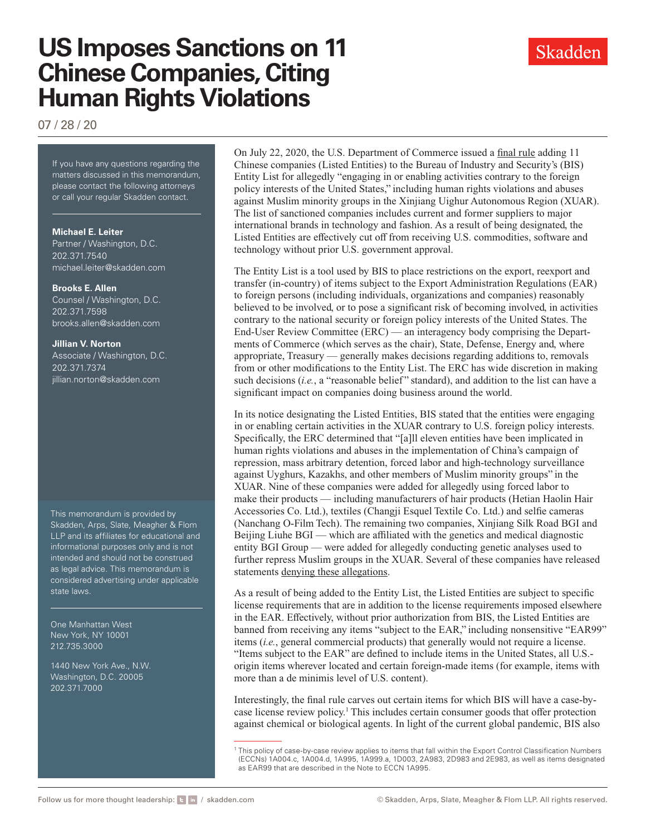# **US Imposes Sanctions on 11 Chinese Companies, Citing Human Rights Violations**

07 / 28 / 20

If you have any questions regarding If you have any questions regarding the matters discussed in this memorandum, please contact the following attorneys or call your regular Skadden contact.

### **Michael E. Leiter**

Partner / Washington, D.C. 202.371.7540 [michael.leiter@skadden.com](mailto:michael.leiter@skadden.com)

#### **Brooks E. Allen**

Counsel / Washington, D.C. 202.371.7598 [brooks.allen@skadden.com](mailto:brooks.allen@skadden.com)

#### **Jillian V. Norton**

Associate / Washington, D.C. 202.371.7374 [jillian.norton@skadden.com](mailto:jillian.norton@skadden.com)

This memorandum is provided by Skadden, Arps, Slate, Meagher & Flom LLP and its affiliates for educational and informational purposes only and is not intended and should not be construed as legal advice. This memorandum is considered advertising under applicable state laws.

One Manhattan West New York, NY 10001 212.735.3000

1440 New York Ave., N.W. Washington, D.C. 20005 202.371.7000

On July 22, 2020, the U.S. Department of Commerce issued a [final rule](https://www.federalregister.gov/documents/2020/07/22/2020-15827/addition-of-certain-entities-to-the-entity-list-revision-of-existing-entries-on-the-entity-list) adding 11 Chinese companies (Listed Entities) to the Bureau of Industry and Security's (BIS) Entity List for allegedly "engaging in or enabling activities contrary to the foreign policy interests of the United States," including human rights violations and abuses against Muslim minority groups in the Xinjiang Uighur Autonomous Region (XUAR). The list of sanctioned companies includes current and former suppliers to major international brands in technology and fashion. As a result of being designated, the Listed Entities are effectively cut off from receiving U.S. commodities, software and technology without prior U.S. government approval.

The Entity List is a tool used by BIS to place restrictions on the export, reexport and transfer (in-country) of items subject to the Export Administration Regulations (EAR) to foreign persons (including individuals, organizations and companies) reasonably believed to be involved, or to pose a significant risk of becoming involved, in activities contrary to the national security or foreign policy interests of the United States. The End-User Review Committee (ERC) — an interagency body comprising the Departments of Commerce (which serves as the chair), State, Defense, Energy and, where appropriate, Treasury — generally makes decisions regarding additions to, removals from or other modifications to the Entity List. The ERC has wide discretion in making such decisions (*i.e.*, a "reasonable belief" standard), and addition to the list can have a significant impact on companies doing business around the world.

In its notice designating the Listed Entities, BIS stated that the entities were engaging in or enabling certain activities in the XUAR contrary to U.S. foreign policy interests. Specifically, the ERC determined that "[a]ll eleven entities have been implicated in human rights violations and abuses in the implementation of China's campaign of repression, mass arbitrary detention, forced labor and high-technology surveillance against Uyghurs, Kazakhs, and other members of Muslim minority groups" in the XUAR. Nine of these companies were added for allegedly using forced labor to make their products — including manufacturers of hair products (Hetian Haolin Hair Accessories Co. Ltd.), textiles (Changji Esquel Textile Co. Ltd.) and selfie cameras (Nanchang O-Film Tech). The remaining two companies, Xinjiang Silk Road BGI and Beijing Liuhe BGI — which are affiliated with the genetics and medical diagnostic entity BGI Group — were added for allegedly conducting genetic analyses used to further repress Muslim groups in the XUAR. Several of these companies have released statements [denying these allegations](https://www.nytimes.com/2020/07/21/business/china-us-trade-banned.html).

As a result of being added to the Entity List, the Listed Entities are subject to specific license requirements that are in addition to the license requirements imposed elsewhere in the EAR. Effectively, without prior authorization from BIS, the Listed Entities are banned from receiving any items "subject to the EAR," including nonsensitive "EAR99" items (*i.e.*, general commercial products) that generally would not require a license. "Items subject to the EAR" are defined to include items in the United States, all U.S. origin items wherever located and certain foreign-made items (for example, items with more than a de minimis level of U.S. content).

Interestingly, the final rule carves out certain items for which BIS will have a case-bycase license review policy.<sup>1</sup> This includes certain consumer goods that offer protection against chemical or biological agents. In light of the current global pandemic, BIS also



<sup>1</sup> This policy of case-by-case review applies to items that fall within the Export Control Classification Numbers (ECCNs) 1A004.c, 1A004.d, 1A995, 1A999.a, 1D003, 2A983, 2D983 and 2E983, as well as items designated as EAR99 that are described in the Note to ECCN 1A995.